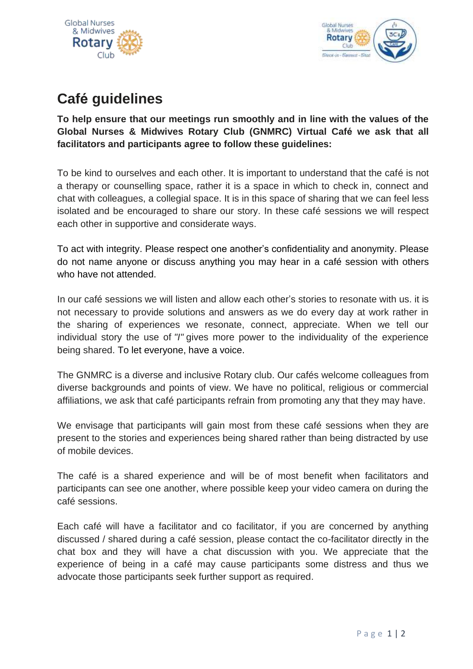



## **Café guidelines**

**To help ensure that our meetings run smoothly and in line with the values of the Global Nurses & Midwives Rotary Club (GNMRC) Virtual Café we ask that all facilitators and participants agree to follow these guidelines:**

To be kind to ourselves and each other. It is important to understand that the café is not a therapy or counselling space, rather it is a space in which to check in, connect and chat with colleagues, a collegial space. It is in this space of sharing that we can feel less isolated and be encouraged to share our story. In these café sessions we will respect each other in supportive and considerate ways.

To act with integrity. Please respect one another's confidentiality and anonymity. Please do not name anyone or discuss anything you may hear in a café session with others who have not attended.

In our café sessions we will listen and allow each other's stories to resonate with us. it is not necessary to provide solutions and answers as we do every day at work rather in the sharing of experiences we resonate, connect, appreciate. When we tell our individual story the use of *"I"* gives more power to the individuality of the experience being shared. To let everyone, have a voice.

The GNMRC is a diverse and inclusive Rotary club. Our cafés welcome colleagues from diverse backgrounds and points of view. We have no political, religious or commercial affiliations, we ask that café participants refrain from promoting any that they may have.

We envisage that participants will gain most from these café sessions when they are present to the stories and experiences being shared rather than being distracted by use of mobile devices.

The café is a shared experience and will be of most benefit when facilitators and participants can see one another, where possible keep your video camera on during the café sessions.

Each café will have a facilitator and co facilitator, if you are concerned by anything discussed / shared during a café session, please contact the co-facilitator directly in the chat box and they will have a chat discussion with you. We appreciate that the experience of being in a café may cause participants some distress and thus we advocate those participants seek further support as required.